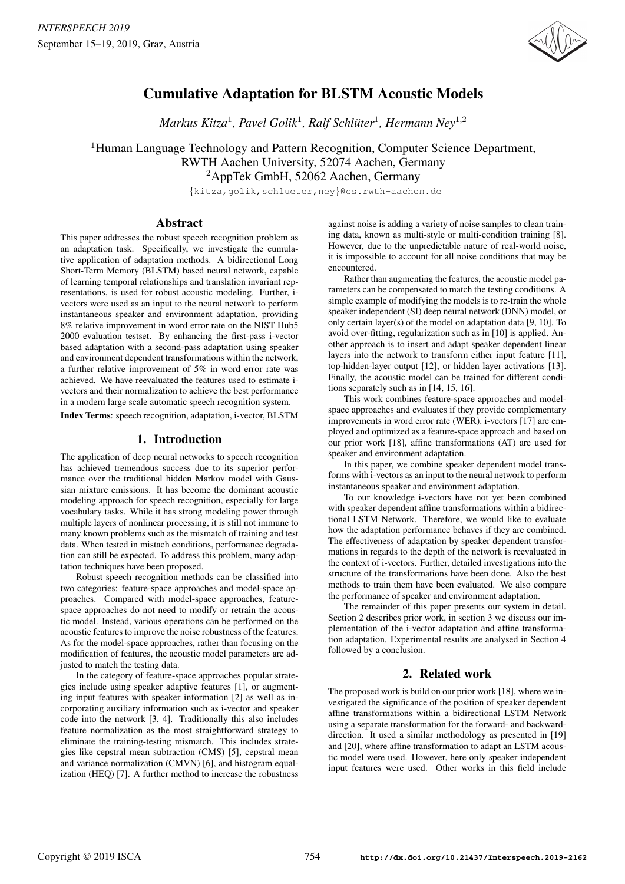

# Cumulative Adaptation for BLSTM Acoustic Models

*Markus Kitza*<sup>1</sup> *, Pavel Golik*<sup>1</sup> *, Ralf Schluter ¨* 1 *, Hermann Ney*<sup>1</sup>,<sup>2</sup>

<sup>1</sup>Human Language Technology and Pattern Recognition, Computer Science Department, RWTH Aachen University, 52074 Aachen, Germany <sup>2</sup>AppTek GmbH, 52062 Aachen, Germany

{kitza,golik,schlueter,ney}@cs.rwth-aachen.de

## Abstract

This paper addresses the robust speech recognition problem as an adaptation task. Specifically, we investigate the cumulative application of adaptation methods. A bidirectional Long Short-Term Memory (BLSTM) based neural network, capable of learning temporal relationships and translation invariant representations, is used for robust acoustic modeling. Further, ivectors were used as an input to the neural network to perform instantaneous speaker and environment adaptation, providing 8% relative improvement in word error rate on the NIST Hub5 2000 evaluation testset. By enhancing the first-pass i-vector based adaptation with a second-pass adaptation using speaker and environment dependent transformations within the network, a further relative improvement of 5% in word error rate was achieved. We have reevaluated the features used to estimate ivectors and their normalization to achieve the best performance in a modern large scale automatic speech recognition system.

Index Terms: speech recognition, adaptation, i-vector, BLSTM

# 1. Introduction

The application of deep neural networks to speech recognition has achieved tremendous success due to its superior performance over the traditional hidden Markov model with Gaussian mixture emissions. It has become the dominant acoustic modeling approach for speech recognition, especially for large vocabulary tasks. While it has strong modeling power through multiple layers of nonlinear processing, it is still not immune to many known problems such as the mismatch of training and test data. When tested in mistach conditions, performance degradation can still be expected. To address this problem, many adaptation techniques have been proposed.

Robust speech recognition methods can be classified into two categories: feature-space approaches and model-space approaches. Compared with model-space approaches, featurespace approaches do not need to modify or retrain the acoustic model. Instead, various operations can be performed on the acoustic features to improve the noise robustness of the features. As for the model-space approaches, rather than focusing on the modification of features, the acoustic model parameters are adjusted to match the testing data.

In the category of feature-space approaches popular strategies include using speaker adaptive features [1], or augmenting input features with speaker information [2] as well as incorporating auxiliary information such as i-vector and speaker code into the network [3, 4]. Traditionally this also includes feature normalization as the most straightforward strategy to eliminate the training-testing mismatch. This includes strategies like cepstral mean subtraction (CMS) [5], cepstral mean and variance normalization (CMVN) [6], and histogram equalization (HEQ) [7]. A further method to increase the robustness

against noise is adding a variety of noise samples to clean training data, known as multi-style or multi-condition training [8]. However, due to the unpredictable nature of real-world noise, it is impossible to account for all noise conditions that may be encountered.

Rather than augmenting the features, the acoustic model parameters can be compensated to match the testing conditions. A simple example of modifying the models is to re-train the whole speaker independent (SI) deep neural network (DNN) model, or only certain layer(s) of the model on adaptation data [9, 10]. To avoid over-fitting, regularization such as in [10] is applied. Another approach is to insert and adapt speaker dependent linear layers into the network to transform either input feature [11], top-hidden-layer output [12], or hidden layer activations [13]. Finally, the acoustic model can be trained for different conditions separately such as in [14, 15, 16].

This work combines feature-space approaches and modelspace approaches and evaluates if they provide complementary improvements in word error rate (WER). i-vectors [17] are employed and optimized as a feature-space approach and based on our prior work [18], affine transformations (AT) are used for speaker and environment adaptation.

In this paper, we combine speaker dependent model transforms with i-vectors as an input to the neural network to perform instantaneous speaker and environment adaptation.

To our knowledge i-vectors have not yet been combined with speaker dependent affine transformations within a bidirectional LSTM Network. Therefore, we would like to evaluate how the adaptation performance behaves if they are combined. The effectiveness of adaptation by speaker dependent transformations in regards to the depth of the network is reevaluated in the context of i-vectors. Further, detailed investigations into the structure of the transformations have been done. Also the best methods to train them have been evaluated. We also compare the performance of speaker and environment adaptation.

The remainder of this paper presents our system in detail. Section 2 describes prior work, in section 3 we discuss our implementation of the i-vector adaptation and affine transformation adaptation. Experimental results are analysed in Section 4 followed by a conclusion.

# 2. Related work

The proposed work is build on our prior work [18], where we investigated the significance of the position of speaker dependent affine transformations within a bidirectional LSTM Network using a separate transformation for the forward- and backwarddirection. It used a similar methodology as presented in [19] and [20], where affine transformation to adapt an LSTM acoustic model were used. However, here only speaker independent input features were used. Other works in this field include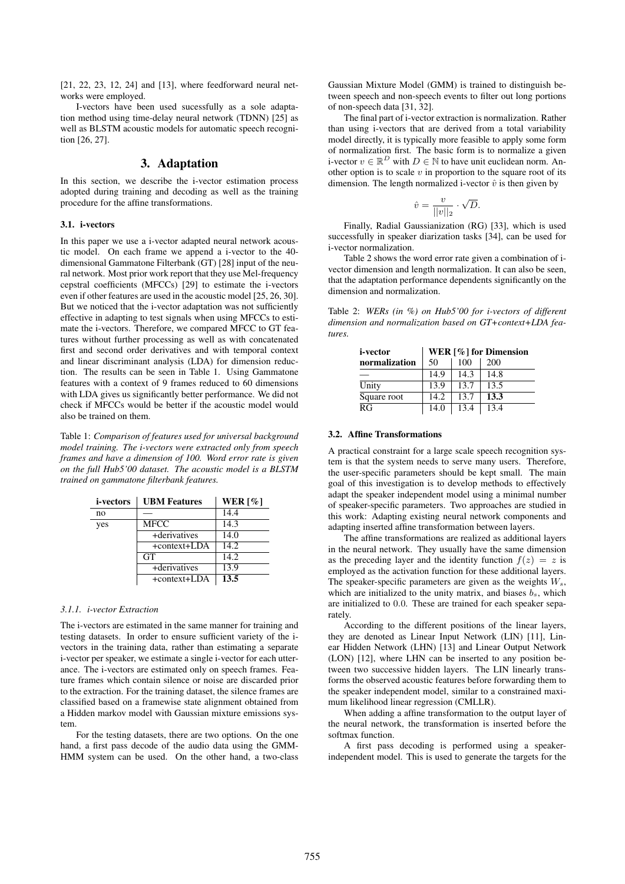[21, 22, 23, 12, 24] and [13], where feedforward neural networks were employed.

I-vectors have been used sucessfully as a sole adaptation method using time-delay neural network (TDNN) [25] as well as BLSTM acoustic models for automatic speech recognition [26, 27].

# 3. Adaptation

In this section, we describe the i-vector estimation process adopted during training and decoding as well as the training procedure for the affine transformations.

### 3.1. i-vectors

In this paper we use a i-vector adapted neural network acoustic model. On each frame we append a i-vector to the 40 dimensional Gammatone Filterbank (GT) [28] input of the neural network. Most prior work report that they use Mel-frequency cepstral coefficients (MFCCs) [29] to estimate the i-vectors even if other features are used in the acoustic model [25, 26, 30]. But we noticed that the i-vector adaptation was not sufficiently effective in adapting to test signals when using MFCCs to estimate the i-vectors. Therefore, we compared MFCC to GT features without further processing as well as with concatenated first and second order derivatives and with temporal context and linear discriminant analysis (LDA) for dimension reduction. The results can be seen in Table 1. Using Gammatone features with a context of 9 frames reduced to 60 dimensions with LDA gives us significantly better performance. We did not check if MFCCs would be better if the acoustic model would also be trained on them.

Table 1: *Comparison of features used for universal background model training. The i-vectors were extracted only from speech frames and have a dimension of 100. Word error rate is given on the full Hub5'00 dataset. The acoustic model is a BLSTM trained on gammatone filterbank features.*

| <i>i</i> -vectors | <b>UBM Features</b> | WER $\lceil \% \rceil$ |
|-------------------|---------------------|------------------------|
| no                |                     | 14.4                   |
| yes               | <b>MFCC</b>         | 14.3                   |
|                   | +derivatives        | 14.0                   |
|                   | +context+LDA        | 14.2                   |
|                   | <b>GT</b>           | 14.2                   |
|                   | +derivatives        | 13.9                   |
|                   | +context+LDA        | 13.5                   |

#### *3.1.1. i-vector Extraction*

The i-vectors are estimated in the same manner for training and testing datasets. In order to ensure sufficient variety of the ivectors in the training data, rather than estimating a separate i-vector per speaker, we estimate a single i-vector for each utterance. The i-vectors are estimated only on speech frames. Feature frames which contain silence or noise are discarded prior to the extraction. For the training dataset, the silence frames are classified based on a framewise state alignment obtained from a Hidden markov model with Gaussian mixture emissions system.

For the testing datasets, there are two options. On the one hand, a first pass decode of the audio data using the GMM-HMM system can be used. On the other hand, a two-class Gaussian Mixture Model (GMM) is trained to distinguish between speech and non-speech events to filter out long portions of non-speech data [31, 32].

The final part of i-vector extraction is normalization. Rather than using i-vectors that are derived from a total variability model directly, it is typically more feasible to apply some form of normalization first. The basic form is to normalize a given i-vector  $v \in \mathbb{R}^D$  with  $D \in \mathbb{N}$  to have unit euclidean norm. Another option is to scale  $v$  in proportion to the square root of its dimension. The length normalized i-vector  $\hat{v}$  is then given by

$$
\hat{v} = \frac{v}{||v||_2} \cdot \sqrt{D}.
$$

Finally, Radial Gaussianization (RG) [33], which is used successfully in speaker diarization tasks [34], can be used for i-vector normalization.

Table 2 shows the word error rate given a combination of ivector dimension and length normalization. It can also be seen, that the adaptation performance dependents significantly on the dimension and normalization.

Table 2: *WERs (in %) on Hub5'00 for i-vectors of different dimension and normalization based on GT+context+LDA features.*

| <i>i</i> -vector | WER [%] for Dimension |      |      |  |
|------------------|-----------------------|------|------|--|
| normalization    | 50                    | 100  | 200  |  |
|                  | 14.9                  | 14.3 | 14.8 |  |
| Unity            | 13.9                  | 13.7 | 13.5 |  |
| Square root      | 14.2                  | 13.7 | 13.3 |  |
| RG               | 14.0                  | 13.4 | 13.4 |  |

#### 3.2. Affine Transformations

A practical constraint for a large scale speech recognition system is that the system needs to serve many users. Therefore, the user-specific parameters should be kept small. The main goal of this investigation is to develop methods to effectively adapt the speaker independent model using a minimal number of speaker-specific parameters. Two approaches are studied in this work: Adapting existing neural network components and adapting inserted affine transformation between layers.

The affine transformations are realized as additional layers in the neural network. They usually have the same dimension as the preceding layer and the identity function  $f(z) = z$  is employed as the activation function for these additional layers. The speaker-specific parameters are given as the weights  $W_s$ , which are initialized to the unity matrix, and biases  $b_s$ , which are initialized to 0.0. These are trained for each speaker separately.

According to the different positions of the linear layers, they are denoted as Linear Input Network (LIN) [11], Linear Hidden Network (LHN) [13] and Linear Output Network (LON) [12], where LHN can be inserted to any position between two successive hidden layers. The LIN linearly transforms the observed acoustic features before forwarding them to the speaker independent model, similar to a constrained maximum likelihood linear regression (CMLLR).

When adding a affine transformation to the output layer of the neural network, the transformation is inserted before the softmax function.

A first pass decoding is performed using a speakerindependent model. This is used to generate the targets for the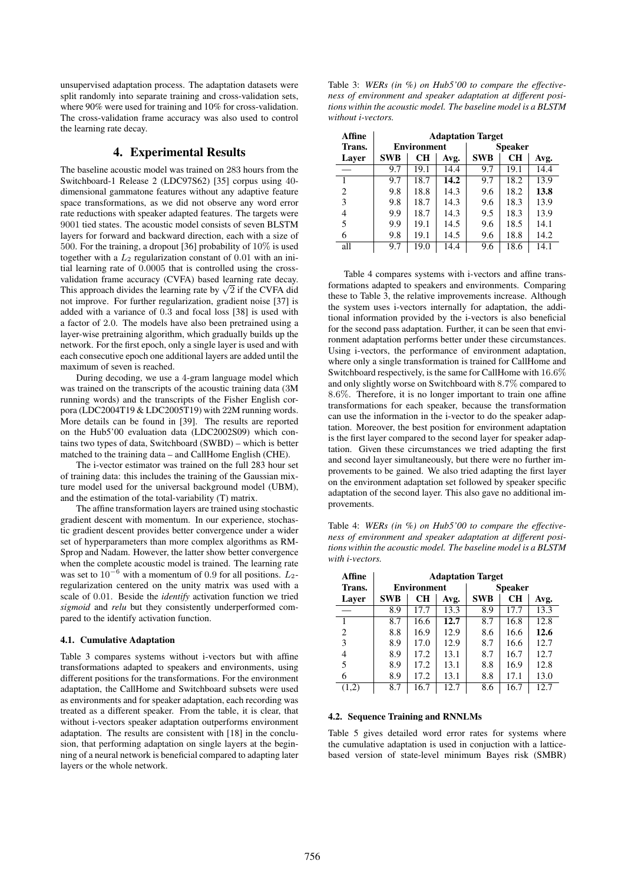unsupervised adaptation process. The adaptation datasets were split randomly into separate training and cross-validation sets, where 90% were used for training and 10% for cross-validation. The cross-validation frame accuracy was also used to control the learning rate decay.

# 4. Experimental Results

The baseline acoustic model was trained on 283 hours from the Switchboard-1 Release 2 (LDC97S62) [35] corpus using 40 dimensional gammatone features without any adaptive feature space transformations, as we did not observe any word error rate reductions with speaker adapted features. The targets were 9001 tied states. The acoustic model consists of seven BLSTM layers for forward and backward direction, each with a size of 500. For the training, a dropout [36] probability of 10% is used together with a  $L_2$  regularization constant of 0.01 with an initial learning rate of 0.0005 that is controlled using the crossvalidation frame accuracy (CVFA) based learning rate decay. validation frame accuracy (CVFA) based learning rate decay.<br>This approach divides the learning rate by  $\sqrt{2}$  if the CVFA did not improve. For further regularization, gradient noise [37] is added with a variance of 0.3 and focal loss [38] is used with a factor of 2.0. The models have also been pretrained using a layer-wise pretraining algorithm, which gradually builds up the network. For the first epoch, only a single layer is used and with each consecutive epoch one additional layers are added until the maximum of seven is reached.

During decoding, we use a 4-gram language model which was trained on the transcripts of the acoustic training data (3M running words) and the transcripts of the Fisher English corpora (LDC2004T19 & LDC2005T19) with 22M running words. More details can be found in [39]. The results are reported on the Hub5'00 evaluation data (LDC2002S09) which contains two types of data, Switchboard (SWBD) – which is better matched to the training data – and CallHome English (CHE).

The i-vector estimator was trained on the full 283 hour set of training data: this includes the training of the Gaussian mixture model used for the universal background model (UBM), and the estimation of the total-variability (T) matrix.

The affine transformation layers are trained using stochastic gradient descent with momentum. In our experience, stochastic gradient descent provides better convergence under a wider set of hyperparameters than more complex algorithms as RM-Sprop and Nadam. However, the latter show better convergence when the complete acoustic model is trained. The learning rate was set to  $10^{-6}$  with a momentum of 0.9 for all positions.  $L_2$ regularization centered on the unity matrix was used with a scale of 0.01. Beside the *identify* activation function we tried *sigmoid* and *relu* but they consistently underperformed compared to the identify activation function.

#### 4.1. Cumulative Adaptation

Table 3 compares systems without i-vectors but with affine transformations adapted to speakers and environments, using different positions for the transformations. For the environment adaptation, the CallHome and Switchboard subsets were used as environments and for speaker adaptation, each recording was treated as a different speaker. From the table, it is clear, that without i-vectors speaker adaptation outperforms environment adaptation. The results are consistent with [18] in the conclusion, that performing adaptation on single layers at the beginning of a neural network is beneficial compared to adapting later layers or the whole network.

Table 3: *WERs (in %) on Hub5'00 to compare the effectiveness of environment and speaker adaptation at different positions within the acoustic model. The baseline model is a BLSTM without i-vectors.*

| Affine | <b>Adaptation Target</b> |           |      |            |                |      |
|--------|--------------------------|-----------|------|------------|----------------|------|
| Trans. | <b>Environment</b>       |           |      |            | <b>Speaker</b> |      |
| Laver  | <b>SWB</b>               | <b>CH</b> | Avg. | <b>SWB</b> | <b>CH</b>      | Avg. |
|        | 9.7                      | 19.1      | 14.4 | 9.7        | 19.1           | 14.4 |
|        | 9.7                      | 18.7      | 14.2 | 9.7        | 18.2           | 13.9 |
| 2      | 9.8                      | 18.8      | 14.3 | 9.6        | 18.2           | 13.8 |
| 3      | 9.8                      | 18.7      | 14.3 | 9.6        | 18.3           | 13.9 |
| 4      | 9.9                      | 18.7      | 14.3 | 9.5        | 18.3           | 13.9 |
| 5      | 9.9                      | 19.1      | 14.5 | 9.6        | 18.5           | 14.1 |
| 6      | 9.8                      | 19.1      | 14.5 | 9.6        | 18.8           | 14.2 |
| all    | 9.7                      | 19.0      | 14.4 | 9.6        | 18.6           | 14.1 |

Table 4 compares systems with i-vectors and affine transformations adapted to speakers and environments. Comparing these to Table 3, the relative improvements increase. Although the system uses i-vectors internally for adaptation, the additional information provided by the i-vectors is also beneficial for the second pass adaptation. Further, it can be seen that environment adaptation performs better under these circumstances. Using i-vectors, the performance of environment adaptation, where only a single transformation is trained for CallHome and Switchboard respectively, is the same for CallHome with 16.6% and only slightly worse on Switchboard with 8.7% compared to 8.6%. Therefore, it is no longer important to train one affine transformations for each speaker, because the transformation can use the information in the i-vector to do the speaker adaptation. Moreover, the best position for environment adaptation is the first layer compared to the second layer for speaker adaptation. Given these circumstances we tried adapting the first and second layer simultaneously, but there were no further improvements to be gained. We also tried adapting the first layer on the environment adaptation set followed by speaker specific adaptation of the second layer. This also gave no additional improvements.

Table 4: *WERs (in %) on Hub5'00 to compare the effectiveness of environment and speaker adaptation at different positions within the acoustic model. The baseline model is a BLSTM with i-vectors.*

| Affine | <b>Adaptation Target</b> |      |      |            |                |      |
|--------|--------------------------|------|------|------------|----------------|------|
| Trans. | <b>Environment</b>       |      |      |            | <b>Speaker</b> |      |
| Layer  | <b>SWB</b>               | CН   | Avg. | <b>SWB</b> | CH             | Avg. |
|        | 8.9                      | 17.7 | 13.3 | 8.9        | 17.7           | 13.3 |
|        | 8.7                      | 16.6 | 12.7 | 8.7        | 16.8           | 12.8 |
| 2      | 8.8                      | 16.9 | 12.9 | 8.6        | 16.6           | 12.6 |
| 3      | 8.9                      | 17.0 | 12.9 | 8.7        | 16.6           | 12.7 |
| 4      | 8.9                      | 17.2 | 13.1 | 8.7        | 16.7           | 12.7 |
| 5      | 8.9                      | 17.2 | 13.1 | 8.8        | 16.9           | 12.8 |
| 6      | 8.9                      | 17.2 | 13.1 | 8.8        | 17.1           | 13.0 |
|        | 8.7                      | 16.7 | 12.7 | 8.6        | 16.7           | 12.7 |

### 4.2. Sequence Training and RNNLMs

Table 5 gives detailed word error rates for systems where the cumulative adaptation is used in conjuction with a latticebased version of state-level minimum Bayes risk (SMBR)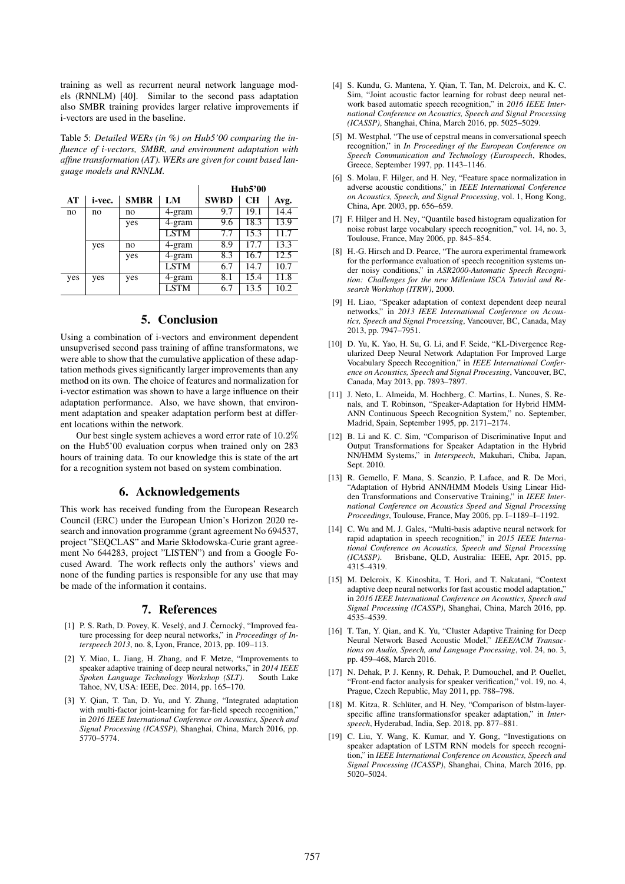training as well as recurrent neural network language models (RNNLM) [40]. Similar to the second pass adaptation also SMBR training provides larger relative improvements if i-vectors are used in the baseline.

Table 5: *Detailed WERs (in %) on Hub5'00 comparing the influence of i-vectors, SMBR, and environment adaptation with affine transformation (AT). WERs are given for count based language models and RNNLM.*

|     |        |             |             | Hub5'00     |           |      |
|-----|--------|-------------|-------------|-------------|-----------|------|
| AT  | i-vec. | <b>SMBR</b> | LM          | <b>SWBD</b> | <b>CH</b> | Avg. |
| no  | no     | no          | 4-gram      | 9.7         | 19.1      | 14.4 |
|     |        | yes         | 4-gram      | 9.6         | 18.3      | 13.9 |
|     |        |             | <b>LSTM</b> | 7.7         | 15.3      | 11.7 |
|     | yes    | no          | 4-gram      | 8.9         | 17.7      | 13.3 |
|     |        | yes         | 4-gram      | 8.3         | 16.7      | 12.5 |
|     |        |             | <b>LSTM</b> | 6.7         | 14.7      | 10.7 |
| yes | yes    | yes         | 4-gram      | 8.1         | 15.4      | 11.8 |
|     |        |             | <b>LSTM</b> | 6.7         | 13.5      | 10.2 |

# 5. Conclusion

Using a combination of i-vectors and environment dependent unsupverised second pass training of affine transformatons, we were able to show that the cumulative application of these adaptation methods gives significantly larger improvements than any method on its own. The choice of features and normalization for i-vector estimation was shown to have a large influence on their adaptation performance. Also, we have shown, that environment adaptation and speaker adaptation perform best at different locations within the network.

Our best single system achieves a word error rate of 10.2% on the Hub5'00 evaluation corpus when trained only on 283 hours of training data. To our knowledge this is state of the art for a recognition system not based on system combination.

### 6. Acknowledgements

This work has received funding from the European Research Council (ERC) under the European Union's Horizon 2020 research and innovation programme (grant agreement No 694537, project "SEQCLAS" and Marie Skłodowska-Curie grant agreement No 644283, project "LISTEN") and from a Google Focused Award. The work reflects only the authors' views and none of the funding parties is responsible for any use that may be made of the information it contains.

## 7. References

- [1] P. S. Rath, D. Povey, K. Veselý, and J. Černocký, "Improved feature processing for deep neural networks," in *Proceedings of Interspeech 2013*, no. 8, Lyon, France, 2013, pp. 109–113.
- [2] Y. Miao, L. Jiang, H. Zhang, and F. Metze, "Improvements to speaker adaptive training of deep neural networks," in *2014 IEEE Spoken Language Technology Workshop (SLT)*. South Lake Tahoe, NV, USA: IEEE, Dec. 2014, pp. 165–170.
- [3] Y. Qian, T. Tan, D. Yu, and Y. Zhang, "Integrated adaptation with multi-factor joint-learning for far-field speech recognition," in *2016 IEEE International Conference on Acoustics, Speech and Signal Processing (ICASSP)*, Shanghai, China, March 2016, pp. 5770–5774.
- [4] S. Kundu, G. Mantena, Y. Qian, T. Tan, M. Delcroix, and K. C. Sim, "Joint acoustic factor learning for robust deep neural network based automatic speech recognition," in *2016 IEEE International Conference on Acoustics, Speech and Signal Processing (ICASSP)*, Shanghai, China, March 2016, pp. 5025–5029.
- [5] M. Westphal, "The use of cepstral means in conversational speech recognition," in *In Proceedings of the European Conference on Speech Communication and Technology (Eurospeech*, Rhodes, Greece, September 1997, pp. 1143–1146.
- [6] S. Molau, F. Hilger, and H. Ney, "Feature space normalization in adverse acoustic conditions," in *IEEE International Conference on Acoustics, Speech, and Signal Processing*, vol. 1, Hong Kong, China, Apr. 2003, pp. 656–659.
- [7] F. Hilger and H. Ney, "Quantile based histogram equalization for noise robust large vocabulary speech recognition," vol. 14, no. 3, Toulouse, France, May 2006, pp. 845–854.
- [8] H.-G. Hirsch and D. Pearce, "The aurora experimental framework for the performance evaluation of speech recognition systems under noisy conditions," in *ASR2000-Automatic Speech Recognition: Challenges for the new Millenium ISCA Tutorial and Research Workshop (ITRW)*, 2000.
- [9] H. Liao, "Speaker adaptation of context dependent deep neural networks," in *2013 IEEE International Conference on Acoustics, Speech and Signal Processing*, Vancouver, BC, Canada, May 2013, pp. 7947–7951.
- [10] D. Yu, K. Yao, H. Su, G. Li, and F. Seide, "KL-Divergence Regularized Deep Neural Network Adaptation For Improved Large Vocabulary Speech Recognition," in *IEEE International Conference on Acoustics, Speech and Signal Processing*, Vancouver, BC, Canada, May 2013, pp. 7893–7897.
- [11] J. Neto, L. Almeida, M. Hochberg, C. Martins, L. Nunes, S. Renals, and T. Robinson, "Speaker-Adaptation for Hybrid HMM-ANN Continuous Speech Recognition System," no. September, Madrid, Spain, September 1995, pp. 2171–2174.
- [12] B. Li and K. C. Sim, "Comparison of Discriminative Input and Output Transformations for Speaker Adaptation in the Hybrid NN/HMM Systems," in *Interspeech*, Makuhari, Chiba, Japan, Sept. 2010.
- [13] R. Gemello, F. Mana, S. Scanzio, P. Laface, and R. De Mori, "Adaptation of Hybrid ANN/HMM Models Using Linear Hidden Transformations and Conservative Training," in *IEEE International Conference on Acoustics Speed and Signal Processing Proceedings*, Toulouse, France, May 2006, pp. I–1189–I–1192.
- [14] C. Wu and M. J. Gales, "Multi-basis adaptive neural network for rapid adaptation in speech recognition," in *2015 IEEE International Conference on Acoustics, Speech and Signal Processing (ICASSP)*. Brisbane, QLD, Australia: IEEE, Apr. 2015, pp. 4315–4319.
- [15] M. Delcroix, K. Kinoshita, T. Hori, and T. Nakatani, "Context adaptive deep neural networks for fast acoustic model adaptation,' in *2016 IEEE International Conference on Acoustics, Speech and Signal Processing (ICASSP)*, Shanghai, China, March 2016, pp. 4535–4539.
- [16] T. Tan, Y. Qian, and K. Yu, "Cluster Adaptive Training for Deep Neural Network Based Acoustic Model," *IEEE/ACM Transactions on Audio, Speech, and Language Processing*, vol. 24, no. 3, pp. 459–468, March 2016.
- [17] N. Dehak, P. J. Kenny, R. Dehak, P. Dumouchel, and P. Ouellet, "Front-end factor analysis for speaker verification," vol. 19, no. 4, Prague, Czech Republic, May 2011, pp. 788–798.
- [18] M. Kitza, R. Schlüter, and H. Ney, "Comparison of blstm-layerspecific affine transformationsfor speaker adaptation," in *Interspeech*, Hyderabad, India, Sep. 2018, pp. 877–881.
- [19] C. Liu, Y. Wang, K. Kumar, and Y. Gong, "Investigations on speaker adaptation of LSTM RNN models for speech recognition," in *IEEE International Conference on Acoustics, Speech and Signal Processing (ICASSP)*, Shanghai, China, March 2016, pp. 5020–5024.